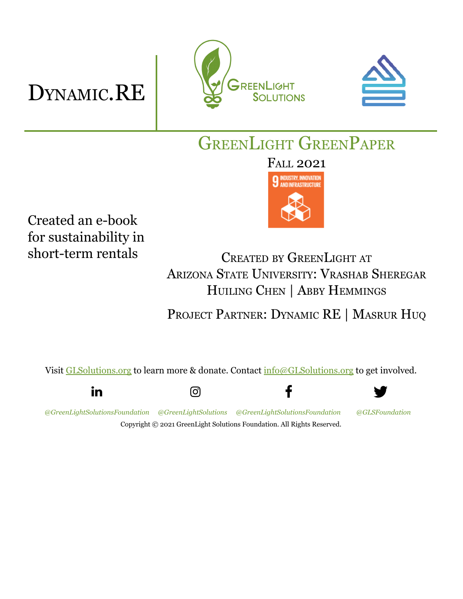## DYNAMIC.RE





GREENLIGHT GREENPAPER

FALL 2021



Created an e-book for sustainability in short-term rentals

CREATED BY GREENLIGHT AT ARIZONA STATE UNIVERSITY: VRASHAB SHEREGAR HUILING CHEN | ABBY HEMMINGS

PROJECT PARTNER: DYNAMIC RE | MASRUR HUQ

f

Visit [GLSolutions.org](https://www.glsolutions.org/) to learn more & donate. Contact [info@GLSolutions.org](mailto:info@GLSolutions.org) to get involved.

in

ତା

*[@GreenLightSolutionsFoundation](https://www.linkedin.com/company/10571635) [@GreenLightSolutions](https://www.instagram.com/greenlightsolutions/) [@GreenLightSolutionsFoundation](https://www.facebook.com/GreenLightSolutionsFoundation/) [@GLSFoundation](https://twitter.com/GLSFoundation)* Copyright © 2021 GreenLight Solutions Foundation. All Rights Reserved.